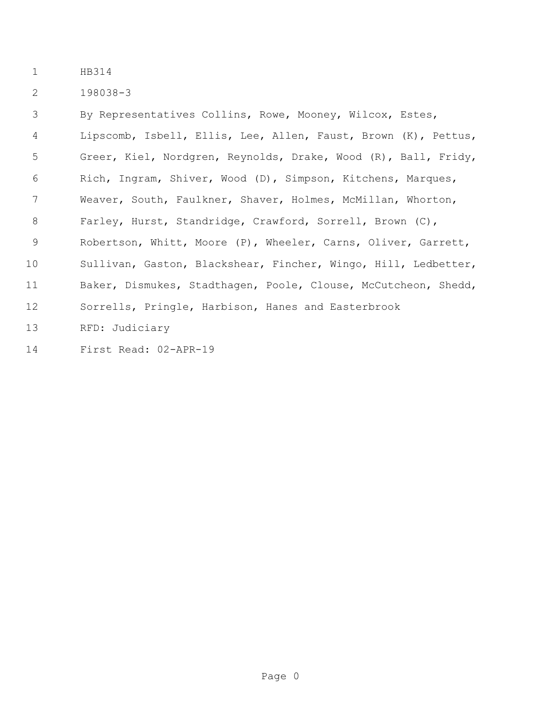198038-3

 By Representatives Collins, Rowe, Mooney, Wilcox, Estes, Lipscomb, Isbell, Ellis, Lee, Allen, Faust, Brown (K), Pettus, Greer, Kiel, Nordgren, Reynolds, Drake, Wood (R), Ball, Fridy, Rich, Ingram, Shiver, Wood (D), Simpson, Kitchens, Marques, Weaver, South, Faulkner, Shaver, Holmes, McMillan, Whorton, Farley, Hurst, Standridge, Crawford, Sorrell, Brown (C), Robertson, Whitt, Moore (P), Wheeler, Carns, Oliver, Garrett, Sullivan, Gaston, Blackshear, Fincher, Wingo, Hill, Ledbetter, Baker, Dismukes, Stadthagen, Poole, Clouse, McCutcheon, Shedd, Sorrells, Pringle, Harbison, Hanes and Easterbrook RFD: Judiciary

First Read: 02-APR-19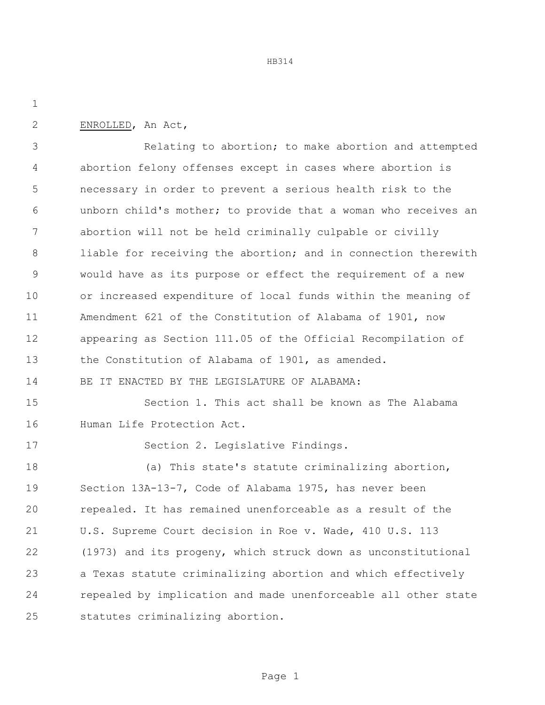ENROLLED, An Act,

 Relating to abortion; to make abortion and attempted abortion felony offenses except in cases where abortion is necessary in order to prevent a serious health risk to the unborn child's mother; to provide that a woman who receives an abortion will not be held criminally culpable or civilly 8 liable for receiving the abortion; and in connection therewith would have as its purpose or effect the requirement of a new or increased expenditure of local funds within the meaning of Amendment 621 of the Constitution of Alabama of 1901, now appearing as Section 111.05 of the Official Recompilation of the Constitution of Alabama of 1901, as amended. BE IT ENACTED BY THE LEGISLATURE OF ALABAMA: Section 1. This act shall be known as The Alabama

Human Life Protection Act.

Section 2. Legislative Findings.

 (a) This state's statute criminalizing abortion, Section 13A-13-7, Code of Alabama 1975, has never been repealed. It has remained unenforceable as a result of the U.S. Supreme Court decision in Roe v. Wade, 410 U.S. 113 (1973) and its progeny, which struck down as unconstitutional a Texas statute criminalizing abortion and which effectively repealed by implication and made unenforceable all other state statutes criminalizing abortion.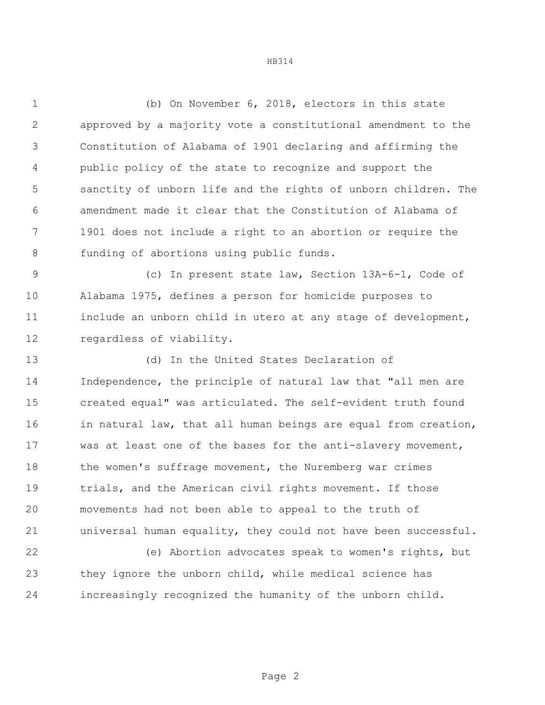(b) On November 6, 2018, electors in this state approved by a majority vote a constitutional amendment to the Constitution of Alabama of 1901 declaring and affirming the public policy of the state to recognize and support the sanctity of unborn life and the rights of unborn children. The amendment made it clear that the Constitution of Alabama of 1901 does not include a right to an abortion or require the funding of abortions using public funds.

 (c) In present state law, Section 13A-6-1, Code of Alabama 1975, defines a person for homicide purposes to include an unborn child in utero at any stage of development, regardless of viability.

 (d) In the United States Declaration of Independence, the principle of natural law that "all men are created equal" was articulated. The self-evident truth found 16 in natural law, that all human beings are equal from creation, was at least one of the bases for the anti-slavery movement, 18 the women's suffrage movement, the Nuremberg war crimes trials, and the American civil rights movement. If those movements had not been able to appeal to the truth of universal human equality, they could not have been successful.

 (e) Abortion advocates speak to women's rights, but they ignore the unborn child, while medical science has increasingly recognized the humanity of the unborn child.

Page 2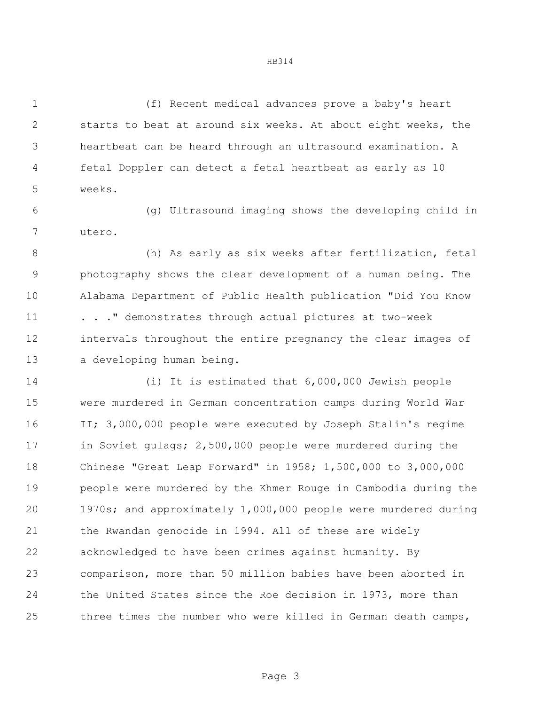(f) Recent medical advances prove a baby's heart starts to beat at around six weeks. At about eight weeks, the heartbeat can be heard through an ultrasound examination. A fetal Doppler can detect a fetal heartbeat as early as 10 weeks.

 (g) Ultrasound imaging shows the developing child in utero.

 (h) As early as six weeks after fertilization, fetal photography shows the clear development of a human being. The Alabama Department of Public Health publication "Did You Know 11 . . . " demonstrates through actual pictures at two-week intervals throughout the entire pregnancy the clear images of a developing human being.

 (i) It is estimated that 6,000,000 Jewish people were murdered in German concentration camps during World War II; 3,000,000 people were executed by Joseph Stalin's regime in Soviet gulags; 2,500,000 people were murdered during the Chinese "Great Leap Forward" in 1958; 1,500,000 to 3,000,000 people were murdered by the Khmer Rouge in Cambodia during the 1970s; and approximately 1,000,000 people were murdered during the Rwandan genocide in 1994. All of these are widely acknowledged to have been crimes against humanity. By comparison, more than 50 million babies have been aborted in the United States since the Roe decision in 1973, more than three times the number who were killed in German death camps,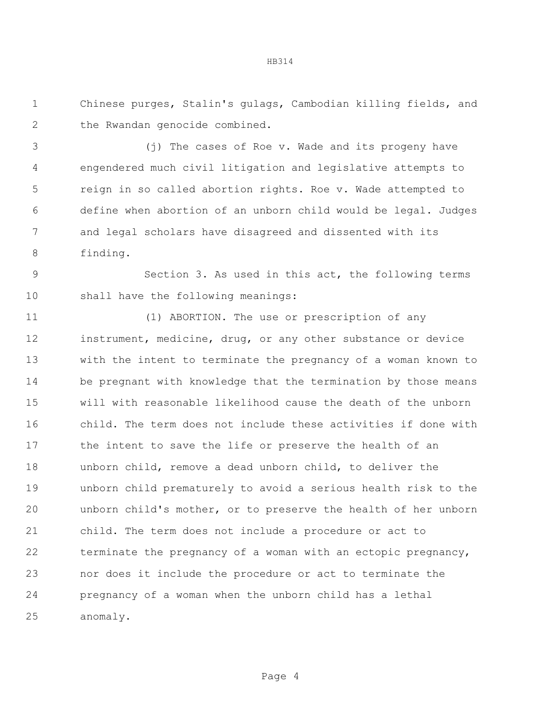Chinese purges, Stalin's gulags, Cambodian killing fields, and 2 the Rwandan genocide combined.

 (j) The cases of Roe v. Wade and its progeny have engendered much civil litigation and legislative attempts to reign in so called abortion rights. Roe v. Wade attempted to define when abortion of an unborn child would be legal. Judges and legal scholars have disagreed and dissented with its finding.

 Section 3. As used in this act, the following terms shall have the following meanings:

 (1) ABORTION. The use or prescription of any instrument, medicine, drug, or any other substance or device with the intent to terminate the pregnancy of a woman known to be pregnant with knowledge that the termination by those means will with reasonable likelihood cause the death of the unborn child. The term does not include these activities if done with the intent to save the life or preserve the health of an unborn child, remove a dead unborn child, to deliver the unborn child prematurely to avoid a serious health risk to the unborn child's mother, or to preserve the health of her unborn child. The term does not include a procedure or act to terminate the pregnancy of a woman with an ectopic pregnancy, nor does it include the procedure or act to terminate the pregnancy of a woman when the unborn child has a lethal anomaly.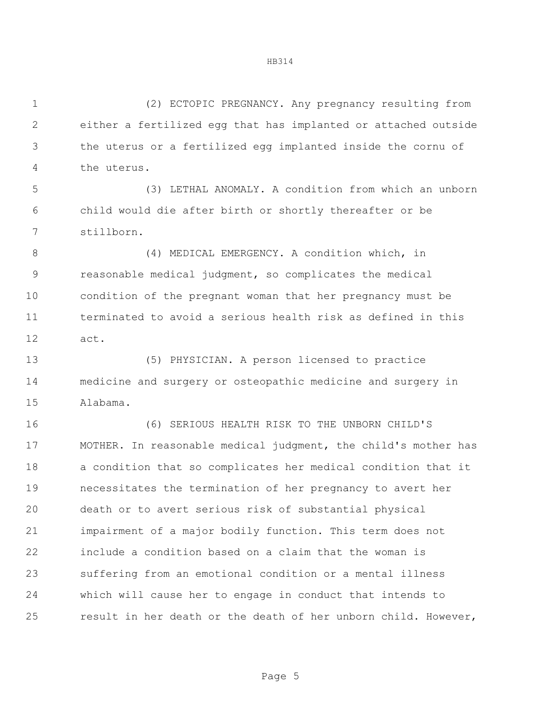(2) ECTOPIC PREGNANCY. Any pregnancy resulting from either a fertilized egg that has implanted or attached outside the uterus or a fertilized egg implanted inside the cornu of the uterus.

 (3) LETHAL ANOMALY. A condition from which an unborn child would die after birth or shortly thereafter or be stillborn.

8 (4) MEDICAL EMERGENCY. A condition which, in reasonable medical judgment, so complicates the medical condition of the pregnant woman that her pregnancy must be terminated to avoid a serious health risk as defined in this act.

 (5) PHYSICIAN. A person licensed to practice medicine and surgery or osteopathic medicine and surgery in Alabama.

 (6) SERIOUS HEALTH RISK TO THE UNBORN CHILD'S MOTHER. In reasonable medical judgment, the child's mother has a condition that so complicates her medical condition that it necessitates the termination of her pregnancy to avert her death or to avert serious risk of substantial physical impairment of a major bodily function. This term does not include a condition based on a claim that the woman is suffering from an emotional condition or a mental illness which will cause her to engage in conduct that intends to result in her death or the death of her unborn child. However,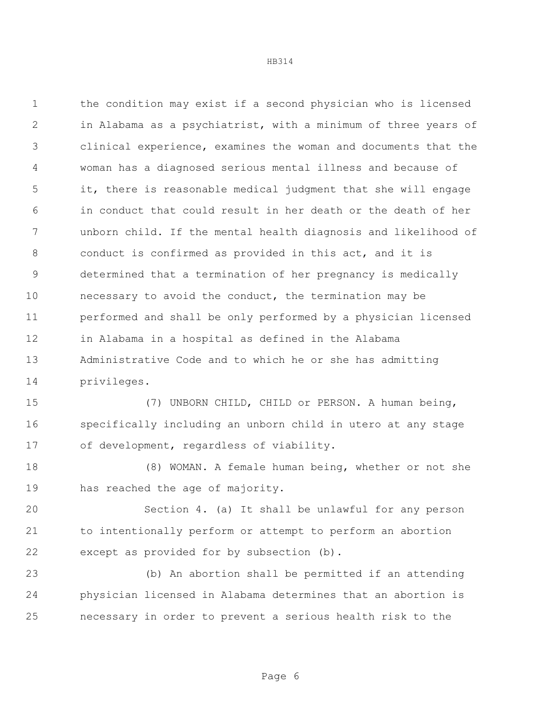the condition may exist if a second physician who is licensed in Alabama as a psychiatrist, with a minimum of three years of clinical experience, examines the woman and documents that the woman has a diagnosed serious mental illness and because of it, there is reasonable medical judgment that she will engage in conduct that could result in her death or the death of her unborn child. If the mental health diagnosis and likelihood of conduct is confirmed as provided in this act, and it is determined that a termination of her pregnancy is medically necessary to avoid the conduct, the termination may be performed and shall be only performed by a physician licensed in Alabama in a hospital as defined in the Alabama Administrative Code and to which he or she has admitting privileges.

 (7) UNBORN CHILD, CHILD or PERSON. A human being, specifically including an unborn child in utero at any stage of development, regardless of viability.

 (8) WOMAN. A female human being, whether or not she has reached the age of majority.

 Section 4. (a) It shall be unlawful for any person to intentionally perform or attempt to perform an abortion except as provided for by subsection (b).

 (b) An abortion shall be permitted if an attending physician licensed in Alabama determines that an abortion is necessary in order to prevent a serious health risk to the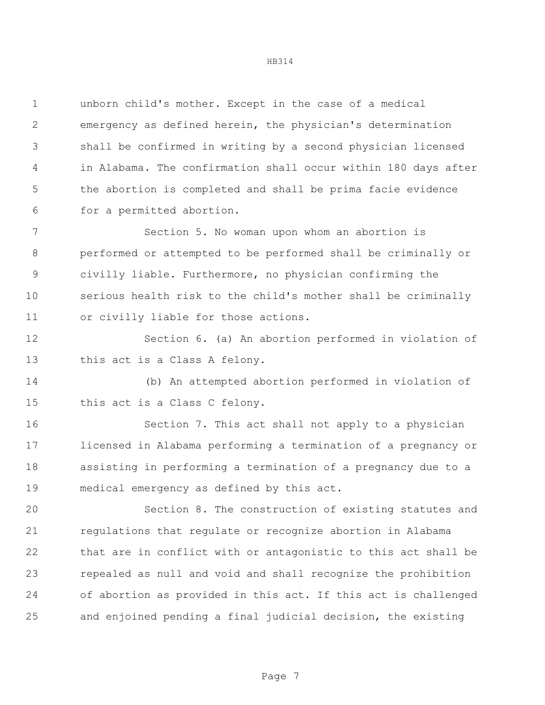unborn child's mother. Except in the case of a medical emergency as defined herein, the physician's determination shall be confirmed in writing by a second physician licensed in Alabama. The confirmation shall occur within 180 days after the abortion is completed and shall be prima facie evidence for a permitted abortion.

 Section 5. No woman upon whom an abortion is performed or attempted to be performed shall be criminally or civilly liable. Furthermore, no physician confirming the serious health risk to the child's mother shall be criminally or civilly liable for those actions.

 Section 6. (a) An abortion performed in violation of this act is a Class A felony.

 (b) An attempted abortion performed in violation of this act is a Class C felony.

 Section 7. This act shall not apply to a physician licensed in Alabama performing a termination of a pregnancy or assisting in performing a termination of a pregnancy due to a medical emergency as defined by this act.

 Section 8. The construction of existing statutes and regulations that regulate or recognize abortion in Alabama that are in conflict with or antagonistic to this act shall be repealed as null and void and shall recognize the prohibition of abortion as provided in this act. If this act is challenged and enjoined pending a final judicial decision, the existing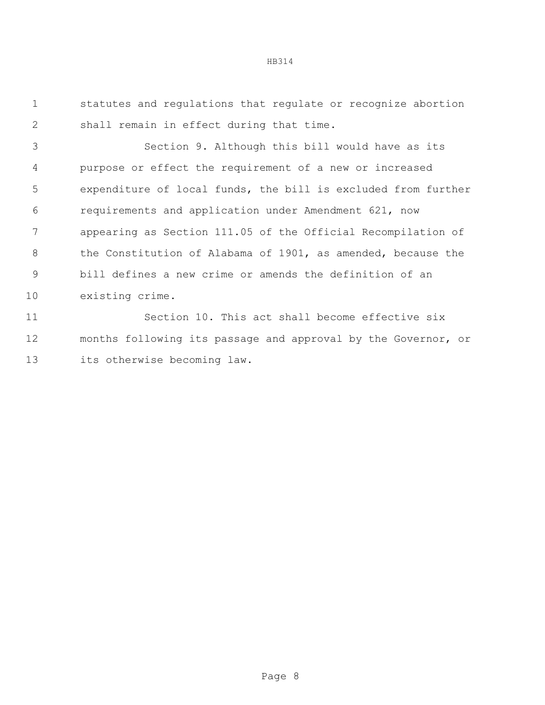statutes and regulations that regulate or recognize abortion shall remain in effect during that time.

 Section 9. Although this bill would have as its purpose or effect the requirement of a new or increased expenditure of local funds, the bill is excluded from further requirements and application under Amendment 621, now appearing as Section 111.05 of the Official Recompilation of 8 the Constitution of Alabama of 1901, as amended, because the bill defines a new crime or amends the definition of an existing crime.

 Section 10. This act shall become effective six months following its passage and approval by the Governor, or its otherwise becoming law.